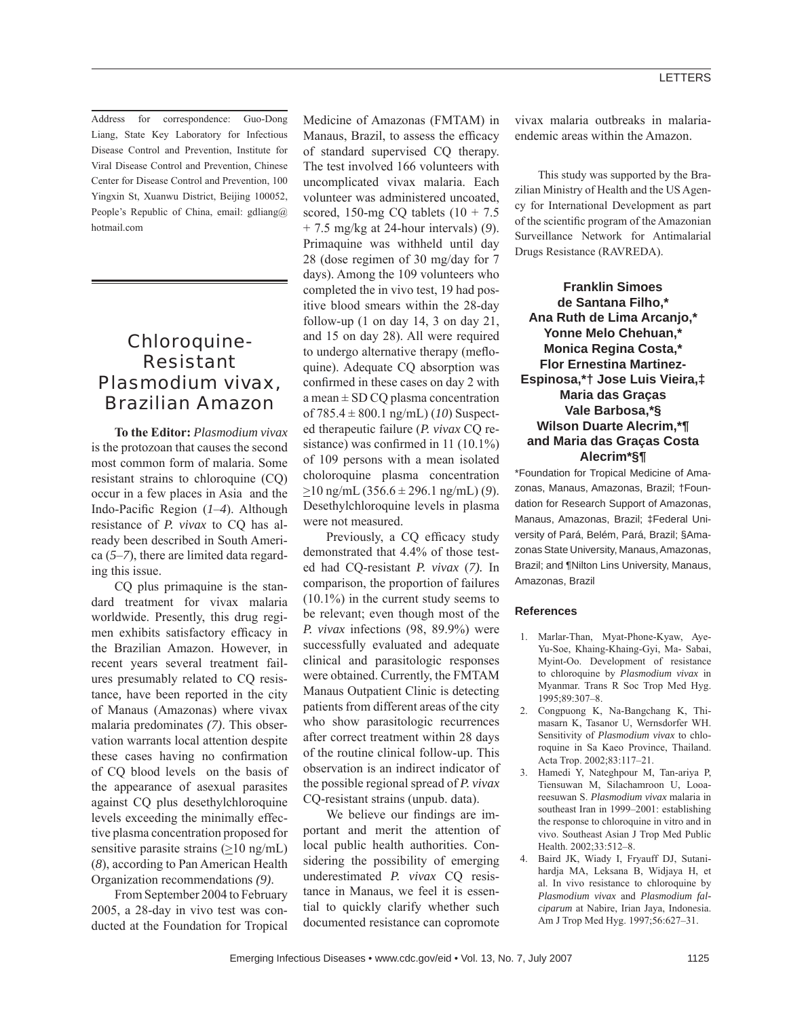Viral Disease Control and Prevention, Chinese Center for Disease Control and Prevention, 100 Yingxin St, Xuanwu District, Beijing 100052, People's Republic of China, email: gdliang@ hotmail.com

## Chloroquine-Resistant *Plasmodium vivax*, Brazilian Amazon

**To the Editor:** *Plasmodium vivax* is the protozoan that causes the second most common form of malaria. Some resistant strains to chloroquine (CQ) occur in a few places in Asia and the Indo-Pacific Region (*1–4*). Although resistance of *P. vivax* to CQ has already been described in South America (*5*–*7*), there are limited data regarding this issue.

CQ plus primaquine is the standard treatment for vivax malaria worldwide. Presently, this drug regimen exhibits satisfactory efficacy in the Brazilian Amazon. However, in recent years several treatment failures presumably related to CQ resistance*,* have been reported in the city of Manaus (Amazonas) where vivax malaria predominates *(7)*. This observation warrants local attention despite these cases having no confirmation of CQ blood levels on the basis of the appearance of asexual parasites against CQ plus desethylchloroquine levels exceeding the minimally effective plasma concentration proposed for sensitive parasite strains  $(\geq 10 \text{ ng/mL})$ (*8*), according to Pan American Health Organization recommendations *(9)*.

From September 2004 to February 2005, a 28-day in vivo test was conducted at the Foundation for Tropical Medicine of Amazonas (FMTAM) in Manaus, Brazil, to assess the efficacy of standard supervised CQ therapy. The test involved 166 volunteers with uncomplicated vivax malaria. Each volunteer was administered uncoated, scored, 150-mg CQ tablets  $(10 + 7.5)$ + 7.5 mg/kg at 24-hour intervals) (*9*). Primaquine was withheld until day 28 (dose regimen of 30 mg/day for 7 days). Among the 109 volunteers who completed the in vivo test, 19 had positive blood smears within the 28-day follow-up  $(1 \text{ on day } 14, 3 \text{ on day } 21,$ and 15 on day 28). All were required to undergo alternative therapy (mefloquine). Adequate CQ absorption was confirmed in these cases on day 2 with a mean  $\pm$  SD CQ plasma concentration of 785.4 ± 800.1 ng/mL) (*10*) Suspected therapeutic failure (*P. vivax* CQ resistance) was confirmed in  $11 (10.1\%)$ of 109 persons with a mean isolated choloroquine plasma concentration >10 ng/mL (356.6 ± 296.1 ng/mL) (*9*). Desethylchloroquine levels in plasma were not measured.

Previously, a CQ efficacy study demonstrated that 4.4% of those tested had CQ-resistant *P. vivax* (*7).* In comparison, the proportion of failures (10.1%) in the current study seems to be relevant; even though most of the *P. vivax* infections (98, 89.9%) were successfully evaluated and adequate clinical and parasitologic responses were obtained. Currently, the FMTAM Manaus Outpatient Clinic is detecting patients from different areas of the city who show parasitologic recurrences after correct treatment within 28 days of the routine clinical follow-up. This observation is an indirect indicator of the possible regional spread of *P. vivax* CQ-resistant strains (unpub. data).

We believe our findings are important and merit the attention of local public health authorities. Considering the possibility of emerging underestimated *P. vivax* CQ resistance in Manaus, we feel it is essential to quickly clarify whether such documented resistance can copromote vivax malaria outbreaks in malariaendemic areas within the Amazon.

This study was supported by the Brazilian Ministry of Health and the US Agency for International Development as part of the scientific program of the Amazonian Surveillance Network for Antimalarial Drugs Resistance (RAVREDA).

**Franklin Simoes de Santana Filho,\* Ana Ruth de Lima Arcanjo,\* Yonne Melo Chehuan,\* Monica Regina Costa,\* Flor Ernestina Martinez-Espinosa,\*† Jose Luis Vieira,‡ Maria das Graças Vale Barbosa,\*§ Wilson Duarte Alecrim,\*¶ and Maria das Graças Costa Alecrim\*§¶** 

\*Foundation for Tropical Medicine of Amazonas, Manaus, Amazonas, Brazil; †Foundation for Research Support of Amazonas, Manaus, Amazonas, Brazil; ‡Federal University of Pará, Belém, Pará, Brazil; §Amazonas State University, Manaus, Amazonas, Brazil; and ¶Nilton Lins University, Manaus, Amazonas, Brazil

## **References**

- 1. Marlar-Than, Myat-Phone-Kyaw, Aye-Yu-Soe, Khaing-Khaing-Gyi, Ma- Sabai, Myint-Oo. Development of resistance to chloroquine by *Plasmodium vivax* in Myanmar. Trans R Soc Trop Med Hyg. 1995;89:307–8.
- 2. Congpuong K, Na-Bangchang K, Thimasarn K, Tasanor U, Wernsdorfer WH. Sensitivity of *Plasmodium vivax* to chloroquine in Sa Kaeo Province, Thailand. Acta Trop. 2002;83:117–21.
- 3. Hamedi Y, Nateghpour M, Tan-ariya P, Tiensuwan M, Silachamroon U, Looareesuwan S. *Plasmodium vivax* malaria in southeast Iran in 1999–2001: establishing the response to chloroquine in vitro and in vivo. Southeast Asian J Trop Med Public Health. 2002;33:512–8.
- 4. Baird JK, Wiady I, Fryauff DJ, Sutanihardja MA, Leksana B, Widjaya H, et al. In vivo resistance to chloroquine by *Plasmodium vivax* and *Plasmodium falciparum* at Nabire, Irian Jaya, Indonesia. Am J Trop Med Hyg. 1997;56:627–31.